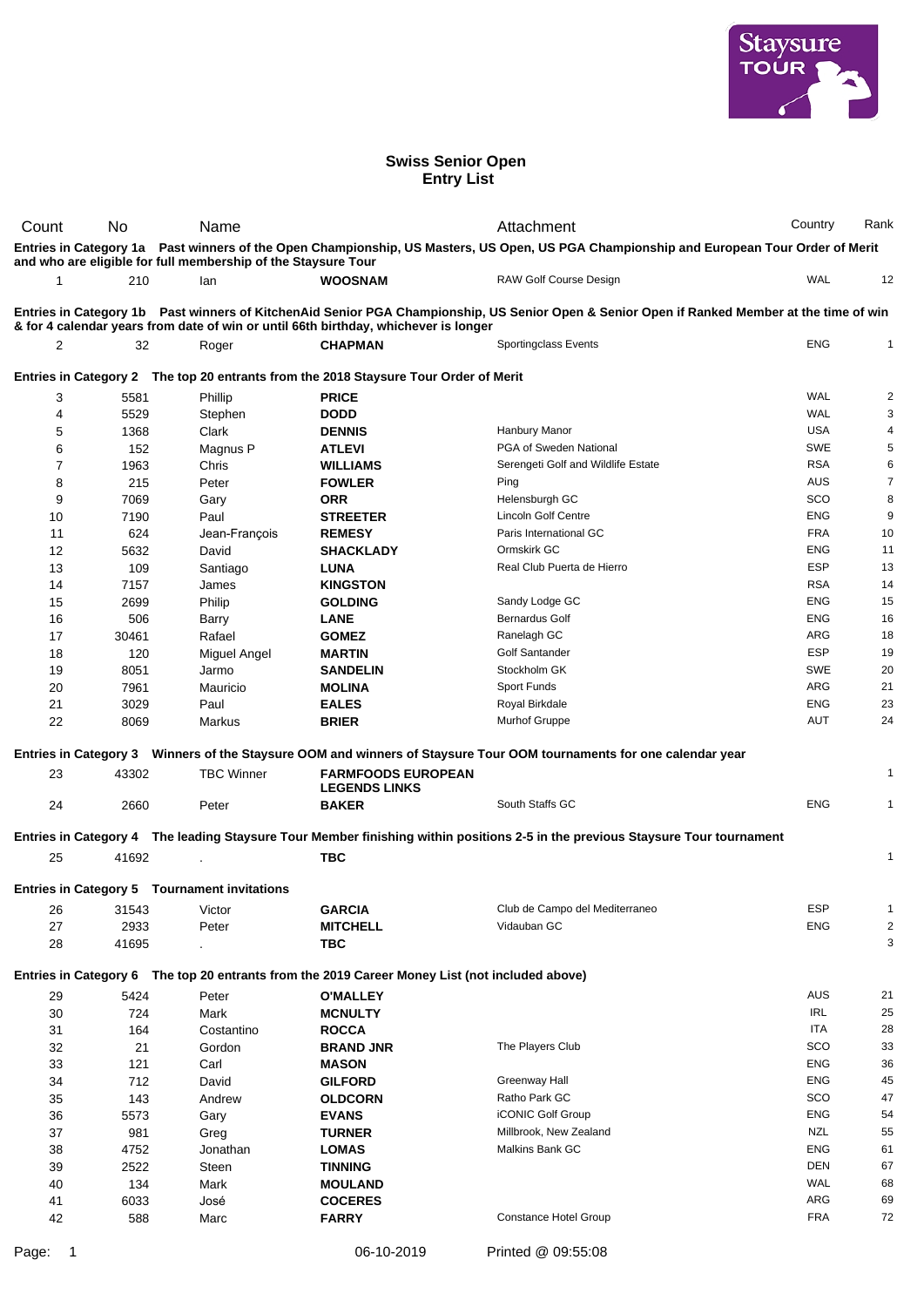

## **Swiss Senior Open Entry List**

| Count                                                                                                                                                                                                                              | No.          | Name                                                                 |                                                                                                | Attachment                                                                                                                              | Country           | Rank                    |  |  |  |
|------------------------------------------------------------------------------------------------------------------------------------------------------------------------------------------------------------------------------------|--------------|----------------------------------------------------------------------|------------------------------------------------------------------------------------------------|-----------------------------------------------------------------------------------------------------------------------------------------|-------------------|-------------------------|--|--|--|
|                                                                                                                                                                                                                                    |              |                                                                      |                                                                                                | Entries in Category 1a Past winners of the Open Championship, US Masters, US Open, US PGA Championship and European Tour Order of Merit |                   |                         |  |  |  |
| 1                                                                                                                                                                                                                                  | 210          | and who are eligible for full membership of the Staysure Tour<br>lan | <b>WOOSNAM</b>                                                                                 | RAW Golf Course Design                                                                                                                  | <b>WAL</b>        | 12                      |  |  |  |
|                                                                                                                                                                                                                                    |              |                                                                      |                                                                                                |                                                                                                                                         |                   |                         |  |  |  |
| Entries in Category 1b Past winners of KitchenAid Senior PGA Championship, US Senior Open & Senior Open if Ranked Member at the time of win<br>& for 4 calendar years from date of win or until 66th birthday, whichever is longer |              |                                                                      |                                                                                                |                                                                                                                                         |                   |                         |  |  |  |
| 2                                                                                                                                                                                                                                  | 32           | Roger                                                                | <b>CHAPMAN</b>                                                                                 | Sportingclass Events                                                                                                                    | <b>ENG</b>        | 1                       |  |  |  |
|                                                                                                                                                                                                                                    |              |                                                                      | Entries in Category 2 The top 20 entrants from the 2018 Staysure Tour Order of Merit           |                                                                                                                                         |                   |                         |  |  |  |
|                                                                                                                                                                                                                                    |              |                                                                      |                                                                                                |                                                                                                                                         |                   |                         |  |  |  |
| 3                                                                                                                                                                                                                                  | 5581         | Phillip                                                              | <b>PRICE</b>                                                                                   |                                                                                                                                         | WAL<br><b>WAL</b> | $\overline{c}$<br>3     |  |  |  |
| 4<br>5                                                                                                                                                                                                                             | 5529<br>1368 | Stephen<br>Clark                                                     | <b>DODD</b><br><b>DENNIS</b>                                                                   | Hanbury Manor                                                                                                                           | <b>USA</b>        | 4                       |  |  |  |
| 6                                                                                                                                                                                                                                  | 152          | Magnus P                                                             | <b>ATLEVI</b>                                                                                  | PGA of Sweden National                                                                                                                  | <b>SWE</b>        | 5                       |  |  |  |
| 7                                                                                                                                                                                                                                  | 1963         | Chris                                                                | <b>WILLIAMS</b>                                                                                | Serengeti Golf and Wildlife Estate                                                                                                      | <b>RSA</b>        | 6                       |  |  |  |
| 8                                                                                                                                                                                                                                  | 215          | Peter                                                                | <b>FOWLER</b>                                                                                  | Ping                                                                                                                                    | <b>AUS</b>        | $\overline{7}$          |  |  |  |
| 9                                                                                                                                                                                                                                  | 7069         | Gary                                                                 | <b>ORR</b>                                                                                     | Helensburgh GC                                                                                                                          | SCO               | 8                       |  |  |  |
| 10                                                                                                                                                                                                                                 | 7190         | Paul                                                                 | <b>STREETER</b>                                                                                | <b>Lincoln Golf Centre</b>                                                                                                              | <b>ENG</b>        | 9                       |  |  |  |
| 11                                                                                                                                                                                                                                 | 624          | Jean-François                                                        | <b>REMESY</b>                                                                                  | Paris International GC                                                                                                                  | <b>FRA</b>        | 10                      |  |  |  |
| 12                                                                                                                                                                                                                                 | 5632         | David                                                                | <b>SHACKLADY</b>                                                                               | Ormskirk GC                                                                                                                             | <b>ENG</b>        | 11                      |  |  |  |
| 13                                                                                                                                                                                                                                 | 109          | Santiago                                                             | <b>LUNA</b>                                                                                    | Real Club Puerta de Hierro                                                                                                              | <b>ESP</b>        | 13                      |  |  |  |
| 14                                                                                                                                                                                                                                 | 7157         | James                                                                | <b>KINGSTON</b>                                                                                |                                                                                                                                         | <b>RSA</b>        | 14                      |  |  |  |
| 15                                                                                                                                                                                                                                 | 2699         | Philip                                                               | <b>GOLDING</b>                                                                                 | Sandy Lodge GC                                                                                                                          | <b>ENG</b>        | 15                      |  |  |  |
| 16                                                                                                                                                                                                                                 | 506          | Barry                                                                | <b>LANE</b>                                                                                    | <b>Bernardus Golf</b>                                                                                                                   | <b>ENG</b>        | 16                      |  |  |  |
| 17                                                                                                                                                                                                                                 | 30461        | Rafael                                                               | <b>GOMEZ</b>                                                                                   | Ranelagh GC                                                                                                                             | <b>ARG</b>        | 18                      |  |  |  |
| 18                                                                                                                                                                                                                                 | 120          | Miguel Angel                                                         | <b>MARTIN</b>                                                                                  | Golf Santander                                                                                                                          | <b>ESP</b>        | 19                      |  |  |  |
| 19                                                                                                                                                                                                                                 | 8051         | Jarmo                                                                | <b>SANDELIN</b>                                                                                | Stockholm GK                                                                                                                            | <b>SWE</b>        | 20                      |  |  |  |
| 20                                                                                                                                                                                                                                 | 7961         | Mauricio                                                             | <b>MOLINA</b>                                                                                  | Sport Funds                                                                                                                             | ARG               | 21                      |  |  |  |
| 21                                                                                                                                                                                                                                 | 3029         | Paul                                                                 | <b>EALES</b>                                                                                   | Royal Birkdale                                                                                                                          | <b>ENG</b>        | 23                      |  |  |  |
| 22                                                                                                                                                                                                                                 | 8069         | Markus                                                               | <b>BRIER</b>                                                                                   | <b>Murhof Gruppe</b>                                                                                                                    | AUT               | 24                      |  |  |  |
|                                                                                                                                                                                                                                    |              |                                                                      |                                                                                                | Entries in Category 3 Winners of the Staysure OOM and winners of Staysure Tour OOM tournaments for one calendar year                    |                   |                         |  |  |  |
| 23                                                                                                                                                                                                                                 | 43302        | <b>TBC Winner</b>                                                    | <b>FARMFOODS EUROPEAN</b>                                                                      |                                                                                                                                         |                   | 1                       |  |  |  |
|                                                                                                                                                                                                                                    |              |                                                                      | <b>LEGENDS LINKS</b>                                                                           |                                                                                                                                         |                   |                         |  |  |  |
| 24                                                                                                                                                                                                                                 | 2660         | Peter                                                                | <b>BAKER</b>                                                                                   | South Staffs GC                                                                                                                         | <b>ENG</b>        | 1                       |  |  |  |
|                                                                                                                                                                                                                                    |              |                                                                      |                                                                                                | Entries in Category 4 The leading Staysure Tour Member finishing within positions 2-5 in the previous Staysure Tour tournament          |                   |                         |  |  |  |
| 25                                                                                                                                                                                                                                 | 41692        |                                                                      | <b>TBC</b>                                                                                     |                                                                                                                                         |                   | $\mathbf{1}$            |  |  |  |
|                                                                                                                                                                                                                                    |              |                                                                      |                                                                                                |                                                                                                                                         |                   |                         |  |  |  |
|                                                                                                                                                                                                                                    |              | Entries in Category 5 Tournament invitations                         |                                                                                                |                                                                                                                                         |                   |                         |  |  |  |
| 26                                                                                                                                                                                                                                 | 31543        | Victor                                                               | <b>GARCIA</b>                                                                                  | Club de Campo del Mediterraneo                                                                                                          | ESP               |                         |  |  |  |
| 27                                                                                                                                                                                                                                 | 2933         | Peter                                                                | <b>MITCHELL</b>                                                                                | Vidauban GC                                                                                                                             | <b>ENG</b>        | $\overline{\mathbf{c}}$ |  |  |  |
| 28                                                                                                                                                                                                                                 | 41695        |                                                                      | <b>TBC</b>                                                                                     |                                                                                                                                         |                   | 3                       |  |  |  |
|                                                                                                                                                                                                                                    |              |                                                                      | Entries in Category 6 The top 20 entrants from the 2019 Career Money List (not included above) |                                                                                                                                         |                   |                         |  |  |  |
| 29                                                                                                                                                                                                                                 | 5424         | Peter                                                                | <b>O'MALLEY</b>                                                                                |                                                                                                                                         | AUS               | 21                      |  |  |  |
| 30                                                                                                                                                                                                                                 | 724          | Mark                                                                 | <b>MCNULTY</b>                                                                                 |                                                                                                                                         | <b>IRL</b>        | 25                      |  |  |  |
| 31                                                                                                                                                                                                                                 | 164          | Costantino                                                           | <b>ROCCA</b>                                                                                   |                                                                                                                                         | <b>ITA</b>        | 28                      |  |  |  |
| 32                                                                                                                                                                                                                                 | 21           | Gordon                                                               | <b>BRAND JNR</b>                                                                               | The Players Club                                                                                                                        | SCO               | 33                      |  |  |  |
| 33                                                                                                                                                                                                                                 | 121          | Carl                                                                 | <b>MASON</b>                                                                                   |                                                                                                                                         | <b>ENG</b>        | 36                      |  |  |  |
| 34                                                                                                                                                                                                                                 | 712          | David                                                                | <b>GILFORD</b>                                                                                 | Greenway Hall                                                                                                                           | <b>ENG</b>        | 45                      |  |  |  |
| 35                                                                                                                                                                                                                                 | 143          | Andrew                                                               | <b>OLDCORN</b>                                                                                 | Ratho Park GC                                                                                                                           | SCO               | 47                      |  |  |  |
| 36                                                                                                                                                                                                                                 | 5573         | Gary                                                                 | <b>EVANS</b>                                                                                   | iCONIC Golf Group                                                                                                                       | <b>ENG</b>        | 54                      |  |  |  |
| 37                                                                                                                                                                                                                                 | 981          | Greg                                                                 | <b>TURNER</b>                                                                                  | Millbrook, New Zealand                                                                                                                  | <b>NZL</b>        | 55                      |  |  |  |
| 38                                                                                                                                                                                                                                 | 4752         | Jonathan                                                             | <b>LOMAS</b>                                                                                   | Malkins Bank GC                                                                                                                         | <b>ENG</b>        | 61                      |  |  |  |
| 39                                                                                                                                                                                                                                 | 2522         | Steen                                                                | <b>TINNING</b>                                                                                 |                                                                                                                                         | <b>DEN</b>        | 67                      |  |  |  |
| 40                                                                                                                                                                                                                                 | 134          | Mark                                                                 | <b>MOULAND</b>                                                                                 |                                                                                                                                         | <b>WAL</b>        | 68                      |  |  |  |
| 41                                                                                                                                                                                                                                 | 6033         | José                                                                 | <b>COCERES</b>                                                                                 |                                                                                                                                         | ARG               | 69                      |  |  |  |
| 42                                                                                                                                                                                                                                 | 588          | Marc                                                                 | <b>FARRY</b>                                                                                   | Constance Hotel Group                                                                                                                   | <b>FRA</b>        | 72                      |  |  |  |
| Page:                                                                                                                                                                                                                              | 1            |                                                                      | 06-10-2019                                                                                     | Printed @ 09:55:08                                                                                                                      |                   |                         |  |  |  |